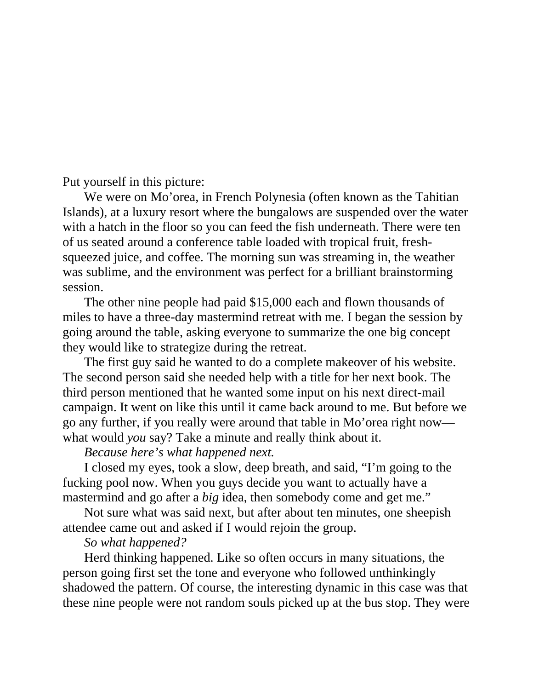Put yourself in this picture:

We were on Mo'orea, in French Polynesia (often known as the Tahitian Islands), at a luxury resort where the bungalows are suspended over the water with a hatch in the floor so you can feed the fish underneath. There were ten of us seated around a conference table loaded with tropical fruit, freshsqueezed juice, and coffee. The morning sun was streaming in, the weather was sublime, and the environment was perfect for a brilliant brainstorming session.

The other nine people had paid \$15,000 each and flown thousands of miles to have a three-day mastermind retreat with me. I began the session by going around the table, asking everyone to summarize the one big concept they would like to strategize during the retreat.

The first guy said he wanted to do a complete makeover of his website. The second person said she needed help with a title for her next book. The third person mentioned that he wanted some input on his next direct-mail campaign. It went on like this until it came back around to me. But before we go any further, if you really were around that table in Mo'orea right now what would *you* say? Take a minute and really think about it.

#### *Because here's what happened next.*

I closed my eyes, took a slow, deep breath, and said, "I'm going to the fucking pool now. When you guys decide you want to actually have a mastermind and go after a *big* idea, then somebody come and get me."

Not sure what was said next, but after about ten minutes, one sheepish attendee came out and asked if I would rejoin the group.

#### *So what happened?*

Herd thinking happened. Like so often occurs in many situations, the person going first set the tone and everyone who followed unthinkingly shadowed the pattern. Of course, the interesting dynamic in this case was that these nine people were not random souls picked up at the bus stop. They were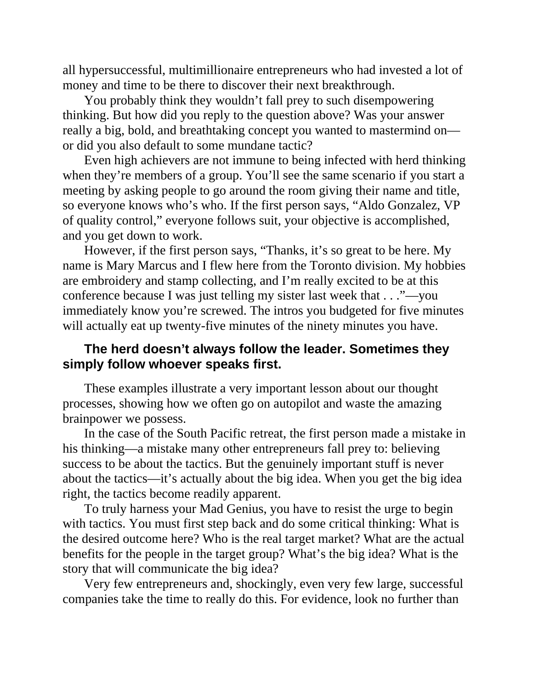all hypersuccessful, multimillionaire entrepreneurs who had invested a lot of money and time to be there to discover their next breakthrough.

You probably think they wouldn't fall prey to such disempowering thinking. But how did you reply to the question above? Was your answer really a big, bold, and breathtaking concept you wanted to mastermind on or did you also default to some mundane tactic?

Even high achievers are not immune to being infected with herd thinking when they're members of a group. You'll see the same scenario if you start a meeting by asking people to go around the room giving their name and title, so everyone knows who's who. If the first person says, "Aldo Gonzalez, VP of quality control," everyone follows suit, your objective is accomplished, and you get down to work.

However, if the first person says, "Thanks, it's so great to be here. My name is Mary Marcus and I flew here from the Toronto division. My hobbies are embroidery and stamp collecting, and I'm really excited to be at this conference because I was just telling my sister last week that . . ."—you immediately know you're screwed. The intros you budgeted for five minutes will actually eat up twenty-five minutes of the ninety minutes you have.

### **The herd doesn't always follow the leader. Sometimes they simply follow whoever speaks first.**

These examples illustrate a very important lesson about our thought processes, showing how we often go on autopilot and waste the amazing brainpower we possess.

In the case of the South Pacific retreat, the first person made a mistake in his thinking—a mistake many other entrepreneurs fall prey to: believing success to be about the tactics. But the genuinely important stuff is never about the tactics—it's actually about the big idea. When you get the big idea right, the tactics become readily apparent.

To truly harness your Mad Genius, you have to resist the urge to begin with tactics. You must first step back and do some critical thinking: What is the desired outcome here? Who is the real target market? What are the actual benefits for the people in the target group? What's the big idea? What is the story that will communicate the big idea?

Very few entrepreneurs and, shockingly, even very few large, successful companies take the time to really do this. For evidence, look no further than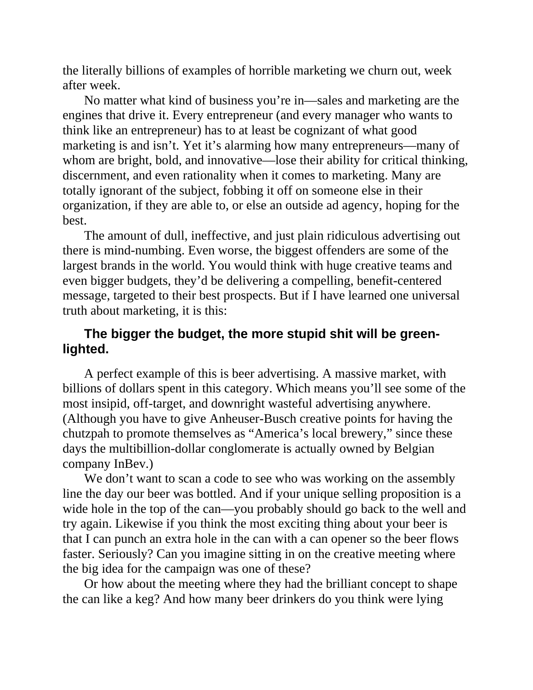the literally billions of examples of horrible marketing we churn out, week after week.

No matter what kind of business you're in—sales and marketing are the engines that drive it. Every entrepreneur (and every manager who wants to think like an entrepreneur) has to at least be cognizant of what good marketing is and isn't. Yet it's alarming how many entrepreneurs—many of whom are bright, bold, and innovative—lose their ability for critical thinking, discernment, and even rationality when it comes to marketing. Many are totally ignorant of the subject, fobbing it off on someone else in their organization, if they are able to, or else an outside ad agency, hoping for the best.

The amount of dull, ineffective, and just plain ridiculous advertising out there is mind-numbing. Even worse, the biggest offenders are some of the largest brands in the world. You would think with huge creative teams and even bigger budgets, they'd be delivering a compelling, benefit-centered message, targeted to their best prospects. But if I have learned one universal truth about marketing, it is this:

# **The bigger the budget, the more stupid shit will be greenlighted.**

A perfect example of this is beer advertising. A massive market, with billions of dollars spent in this category. Which means you'll see some of the most insipid, off-target, and downright wasteful advertising anywhere. (Although you have to give Anheuser-Busch creative points for having the chutzpah to promote themselves as "America's local brewery," since these days the multibillion-dollar conglomerate is actually owned by Belgian company InBev.)

We don't want to scan a code to see who was working on the assembly line the day our beer was bottled. And if your unique selling proposition is a wide hole in the top of the can—you probably should go back to the well and try again. Likewise if you think the most exciting thing about your beer is that I can punch an extra hole in the can with a can opener so the beer flows faster. Seriously? Can you imagine sitting in on the creative meeting where the big idea for the campaign was one of these?

Or how about the meeting where they had the brilliant concept to shape the can like a keg? And how many beer drinkers do you think were lying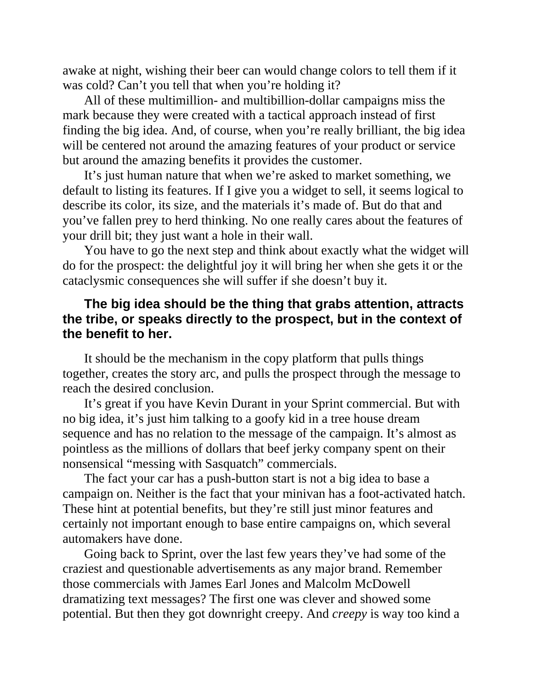awake at night, wishing their beer can would change colors to tell them if it was cold? Can't you tell that when you're holding it?

All of these multimillion- and multibillion-dollar campaigns miss the mark because they were created with a tactical approach instead of first finding the big idea. And, of course, when you're really brilliant, the big idea will be centered not around the amazing features of your product or service but around the amazing benefits it provides the customer.

It's just human nature that when we're asked to market something, we default to listing its features. If I give you a widget to sell, it seems logical to describe its color, its size, and the materials it's made of. But do that and you've fallen prey to herd thinking. No one really cares about the features of your drill bit; they just want a hole in their wall.

You have to go the next step and think about exactly what the widget will do for the prospect: the delightful joy it will bring her when she gets it or the cataclysmic consequences she will suffer if she doesn't buy it.

## **The big idea should be the thing that grabs attention, attracts the tribe, or speaks directly to the prospect, but in the context of the benefit to her.**

It should be the mechanism in the copy platform that pulls things together, creates the story arc, and pulls the prospect through the message to reach the desired conclusion.

It's great if you have Kevin Durant in your Sprint commercial. But with no big idea, it's just him talking to a goofy kid in a tree house dream sequence and has no relation to the message of the campaign. It's almost as pointless as the millions of dollars that beef jerky company spent on their nonsensical "messing with Sasquatch" commercials.

The fact your car has a push-button start is not a big idea to base a campaign on. Neither is the fact that your minivan has a foot-activated hatch. These hint at potential benefits, but they're still just minor features and certainly not important enough to base entire campaigns on, which several automakers have done.

Going back to Sprint, over the last few years they've had some of the craziest and questionable advertisements as any major brand. Remember those commercials with James Earl Jones and Malcolm McDowell dramatizing text messages? The first one was clever and showed some potential. But then they got downright creepy. And *creepy* is way too kind a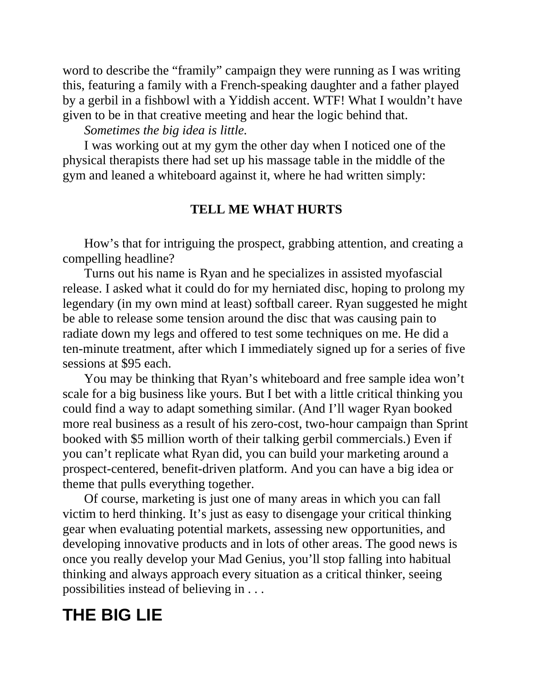word to describe the "framily" campaign they were running as I was writing this, featuring a family with a French-speaking daughter and a father played by a gerbil in a fishbowl with a Yiddish accent. WTF! What I wouldn't have given to be in that creative meeting and hear the logic behind that.

### *Sometimes the big idea is little.*

I was working out at my gym the other day when I noticed one of the physical therapists there had set up his massage table in the middle of the gym and leaned a whiteboard against it, where he had written simply:

#### **TELL ME WHAT HURTS**

How's that for intriguing the prospect, grabbing attention, and creating a compelling headline?

Turns out his name is Ryan and he specializes in assisted myofascial release. I asked what it could do for my herniated disc, hoping to prolong my legendary (in my own mind at least) softball career. Ryan suggested he might be able to release some tension around the disc that was causing pain to radiate down my legs and offered to test some techniques on me. He did a ten-minute treatment, after which I immediately signed up for a series of five sessions at \$95 each.

You may be thinking that Ryan's whiteboard and free sample idea won't scale for a big business like yours. But I bet with a little critical thinking you could find a way to adapt something similar. (And I'll wager Ryan booked more real business as a result of his zero-cost, two-hour campaign than Sprint booked with \$5 million worth of their talking gerbil commercials.) Even if you can't replicate what Ryan did, you can build your marketing around a prospect-centered, benefit-driven platform. And you can have a big idea or theme that pulls everything together.

Of course, marketing is just one of many areas in which you can fall victim to herd thinking. It's just as easy to disengage your critical thinking gear when evaluating potential markets, assessing new opportunities, and developing innovative products and in lots of other areas. The good news is once you really develop your Mad Genius, you'll stop falling into habitual thinking and always approach every situation as a critical thinker, seeing possibilities instead of believing in . . .

# **THE BIG LIE**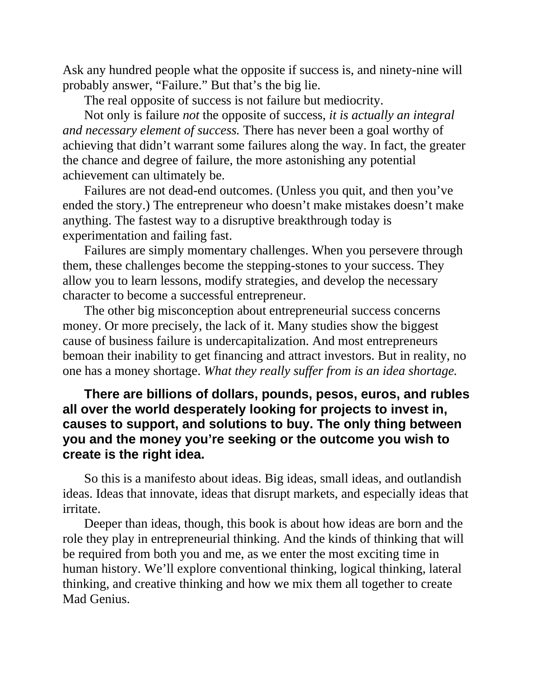Ask any hundred people what the opposite if success is, and ninety-nine will probably answer, "Failure." But that's the big lie.

The real opposite of success is not failure but mediocrity.

Not only is failure *not* the opposite of success, *it is actually an integral and necessary element of success.* There has never been a goal worthy of achieving that didn't warrant some failures along the way. In fact, the greater the chance and degree of failure, the more astonishing any potential achievement can ultimately be.

Failures are not dead-end outcomes. (Unless you quit, and then you've ended the story.) The entrepreneur who doesn't make mistakes doesn't make anything. The fastest way to a disruptive breakthrough today is experimentation and failing fast.

Failures are simply momentary challenges. When you persevere through them, these challenges become the stepping-stones to your success. They allow you to learn lessons, modify strategies, and develop the necessary character to become a successful entrepreneur.

The other big misconception about entrepreneurial success concerns money. Or more precisely, the lack of it. Many studies show the biggest cause of business failure is undercapitalization. And most entrepreneurs bemoan their inability to get financing and attract investors. But in reality, no one has a money shortage. *What they really suffer from is an idea shortage.*

# **There are billions of dollars, pounds, pesos, euros, and rubles all over the world desperately looking for projects to invest in, causes to support, and solutions to buy. The only thing between you and the money you're seeking or the outcome you wish to create is the right idea.**

So this is a manifesto about ideas. Big ideas, small ideas, and outlandish ideas. Ideas that innovate, ideas that disrupt markets, and especially ideas that irritate.

Deeper than ideas, though, this book is about how ideas are born and the role they play in entrepreneurial thinking. And the kinds of thinking that will be required from both you and me, as we enter the most exciting time in human history. We'll explore conventional thinking, logical thinking, lateral thinking, and creative thinking and how we mix them all together to create Mad Genius.